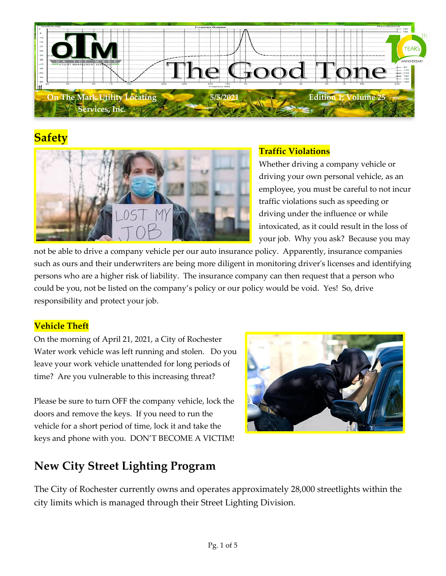

# **Safety**



### **Traffic Violations**

Whether driving a company vehicle or driving your own personal vehicle, as an employee, you must be careful to not incur traffic violations such as speeding or driving under the influence or while intoxicated, as it could result in the loss of your job. Why you ask? Because you may

not be able to drive a company vehicle per our auto insurance policy. Apparently, insurance companies such as ours and their underwriters are being more diligent in monitoring driver's licenses and identifying persons who are a higher risk of liability. The insurance company can then request that a person who could be you, not be listed on the company's policy or our policy would be void. Yes! So, drive responsibility and protect your job.

#### **Vehicle Theft**

On the morning of April 21, 2021, a City of Rochester Water work vehicle was left running and stolen. Do you leave your work vehicle unattended for long periods of time? Are you vulnerable to this increasing threat?

Please be sure to turn OFF the company vehicle, lock the doors and remove the keys. If you need to run the vehicle for a short period of time, lock it and take the keys and phone with you. DON'T BECOME A VICTIM!



# **New City Street Lighting Program**

The City of Rochester currently owns and operates approximately 28,000 streetlights within the city limits which is managed through their Street Lighting Division.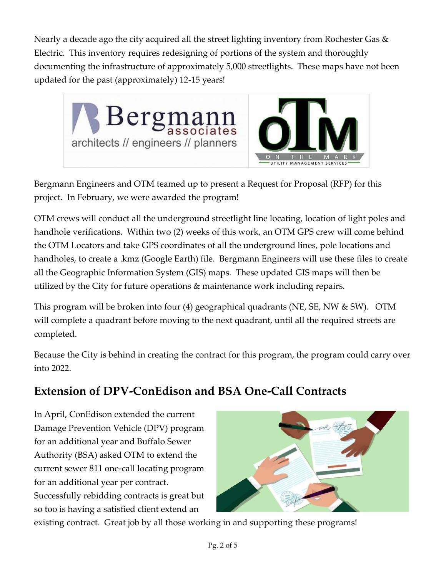Nearly a decade ago the city acquired all the street lighting inventory from Rochester Gas & Electric. This inventory requires redesigning of portions of the system and thoroughly documenting the infrastructure of approximately 5,000 streetlights. These maps have not been updated for the past (approximately) 12-15 years!



Bergmann Engineers and OTM teamed up to present a Request for Proposal (RFP) for this project. In February, we were awarded the program!

OTM crews will conduct all the underground streetlight line locating, location of light poles and handhole verifications. Within two (2) weeks of this work, an OTM GPS crew will come behind the OTM Locators and take GPS coordinates of all the underground lines, pole locations and handholes, to create a .kmz (Google Earth) file. Bergmann Engineers will use these files to create all the Geographic Information System (GIS) maps. These updated GIS maps will then be utilized by the City for future operations & maintenance work including repairs.

This program will be broken into four (4) geographical quadrants (NE, SE, NW & SW). OTM will complete a quadrant before moving to the next quadrant, until all the required streets are completed.

Because the City is behind in creating the contract for this program, the program could carry over into 2022.

## **Extension of DPV-ConEdison and BSA One-Call Contracts**

In April, ConEdison extended the current Damage Prevention Vehicle (DPV) program for an additional year and Buffalo Sewer Authority (BSA) asked OTM to extend the current sewer 811 one-call locating program for an additional year per contract. Successfully rebidding contracts is great but so too is having a satisfied client extend an



existing contract. Great job by all those working in and supporting these programs!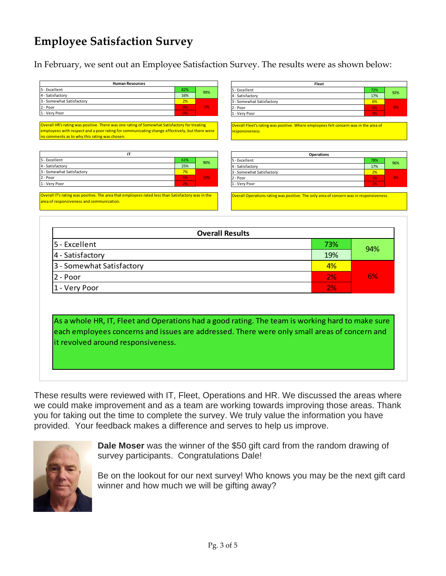### **Employee Satisfaction Survey**

In February, we sent out an Employee Satisfaction Survey. The results were as shown below:

| <b>Human Resources</b>    |     |     |
|---------------------------|-----|-----|
| 5 - Excellent             | 82% | 99% |
| 4 - Satisfactory          | 16% |     |
| 3 - Somewhat Satisfactory | 2%  |     |
| 2 - Poor                  | 0%  | 1%  |
| 1 - Very Poor             | 0%  |     |

Overall HR's rating was positive. There was one rating of Somewhat Satisfactory for treating employees with respect and a poor rating for communicating change effectively, but there were o comments as to why this rating was chosen.

| 5 - Excellent             | 61% | 90% |
|---------------------------|-----|-----|
| 4 - Satisfactory          | 25% |     |
| 3 - Somewhat Satisfactory | 7%  |     |
| 2 - Poor                  | 5%  | 10% |
| 1 - Very Poor             | 2%  |     |

Overall IT's rating was positive. The area that employees rated less than Satisfactory was in the rea of responsiveness and communication.

| Fleet                     |     |     |
|---------------------------|-----|-----|
| 5 - Excellent             | 72% | 92% |
| 4 - Satisfactory          | 17% |     |
| 3 - Somewhat Satisfactory | 6%  |     |
| 2 - Poor                  | 0%  | 8%  |
| 1 - Very Poor             | 4%  |     |
|                           |     |     |

Overall Fleet's rating was positive. Where employees felt concern was in the area of esponsiveness.

| <b>Operations</b>         |     |     |
|---------------------------|-----|-----|
| 5 - Excellent             | 78% | 96% |
| 4 - Satisfactory          | 17% |     |
| 3 - Somewhat Satisfactory | 2%  |     |
| 2 - Poor                  | 1%  | 4%  |
| 1 - Very Poor             | 2%  |     |

Overall Operations rating was positive. The only area of concern was in responsiveness.

| <b>Overall Results</b>    |     |     |
|---------------------------|-----|-----|
| 5 - Excellent             | 73% | 94% |
| 4 - Satisfactory          | 19% |     |
| 3 - Somewhat Satisfactory | 4%  |     |
| 2 - Poor                  | 2%  | 6%  |
| 1 - Very Poor             | 2%  |     |

As a whole HR, IT, Fleet and Operations had a good rating. The team is working hard to make sure each employees concerns and issues are addressed. There were only small areas of concern and it revolved around responsiveness.

These results were reviewed with IT, Fleet, Operations and HR. We discussed the areas where we could make improvement and as a team are working towards improving those areas. Thank you for taking out the time to complete the survey. We truly value the information you have provided. Your feedback makes a difference and serves to help us improve.



**Dale Moser** was the winner of the \$50 gift card from the random drawing of survey participants. Congratulations Dale!

Be on the lookout for our next survey! Who knows you may be the next gift card winner and how much we will be gifting away?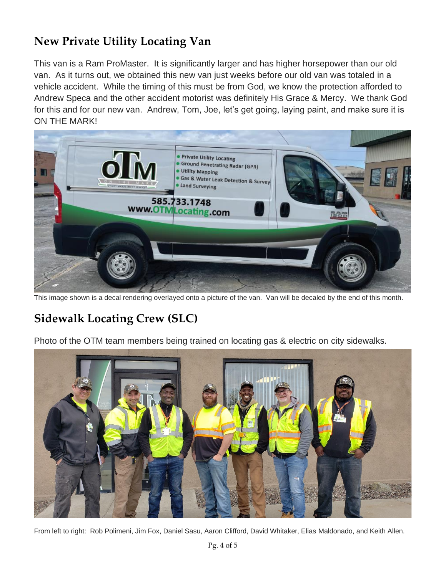# **New Private Utility Locating Van**

This van is a Ram ProMaster. It is significantly larger and has higher horsepower than our old van. As it turns out, we obtained this new van just weeks before our old van was totaled in a vehicle accident. While the timing of this must be from God, we know the protection afforded to Andrew Speca and the other accident motorist was definitely His Grace & Mercy. We thank God for this and for our new van. Andrew, Tom, Joe, let's get going, laying paint, and make sure it is ON THE MARK!



This image shown is a decal rendering overlayed onto a picture of the van. Van will be decaled by the end of this month.

## **Sidewalk Locating Crew (SLC)**

Photo of the OTM team members being trained on locating gas & electric on city sidewalks.



From left to right: Rob Polimeni, Jim Fox, Daniel Sasu, Aaron Clifford, David Whitaker, Elias Maldonado, and Keith Allen.